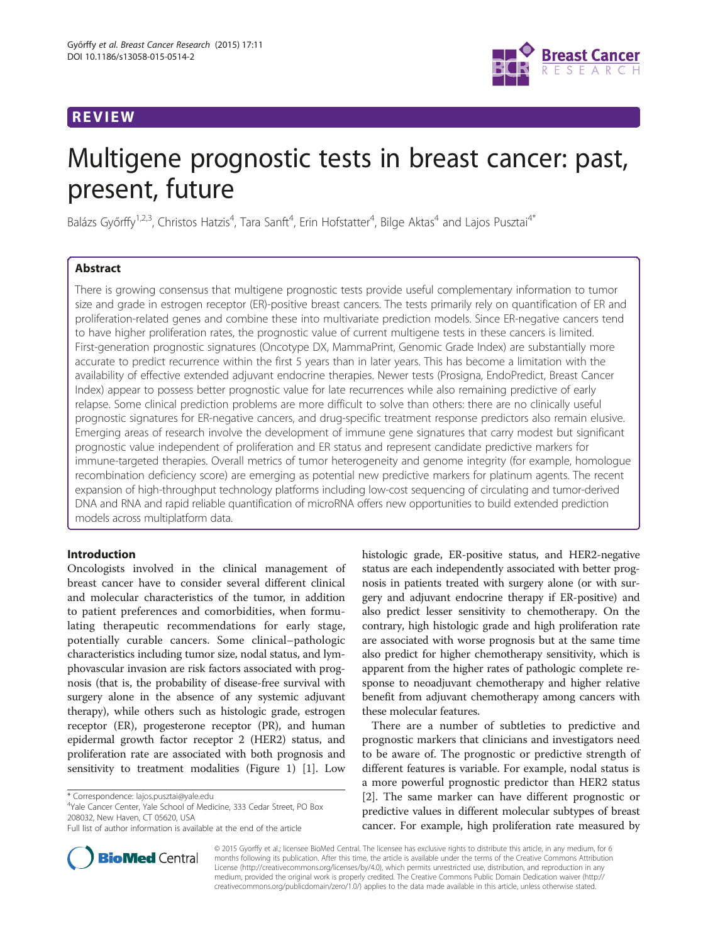# REVIEW



# Multigene prognostic tests in breast cancer: past, present, future

**r**<br>Balázs Győrffy<sup>1,2,3</sup>, Christos Hatzis<sup>4</sup>, Tara Sanft<sup>4</sup>, Erin Hofstatter<sup>4</sup>, Bilge Aktas<sup>4</sup> and Lajos Pusztai<sup>4\*</sup>

# Abstract

There is growing consensus that multigene prognostic tests provide useful complementary information to tumor size and grade in estrogen receptor (ER)-positive breast cancers. The tests primarily rely on quantification of ER and proliferation-related genes and combine these into multivariate prediction models. Since ER-negative cancers tend to have higher proliferation rates, the prognostic value of current multigene tests in these cancers is limited. First-generation prognostic signatures (Oncotype DX, MammaPrint, Genomic Grade Index) are substantially more accurate to predict recurrence within the first 5 years than in later years. This has become a limitation with the availability of effective extended adjuvant endocrine therapies. Newer tests (Prosigna, EndoPredict, Breast Cancer Index) appear to possess better prognostic value for late recurrences while also remaining predictive of early relapse. Some clinical prediction problems are more difficult to solve than others: there are no clinically useful prognostic signatures for ER-negative cancers, and drug-specific treatment response predictors also remain elusive. Emerging areas of research involve the development of immune gene signatures that carry modest but significant prognostic value independent of proliferation and ER status and represent candidate predictive markers for immune-targeted therapies. Overall metrics of tumor heterogeneity and genome integrity (for example, homologue recombination deficiency score) are emerging as potential new predictive markers for platinum agents. The recent expansion of high-throughput technology platforms including low-cost sequencing of circulating and tumor-derived DNA and RNA and rapid reliable quantification of microRNA offers new opportunities to build extended prediction models across multiplatform data.

# Introduction

Oncologists involved in the clinical management of breast cancer have to consider several different clinical and molecular characteristics of the tumor, in addition to patient preferences and comorbidities, when formulating therapeutic recommendations for early stage, potentially curable cancers. Some clinical–pathologic characteristics including tumor size, nodal status, and lymphovascular invasion are risk factors associated with prognosis (that is, the probability of disease-free survival with surgery alone in the absence of any systemic adjuvant therapy), while others such as histologic grade, estrogen receptor (ER), progesterone receptor (PR), and human epidermal growth factor receptor 2 (HER2) status, and proliferation rate are associated with both prognosis and sensitivity to treatment modalities (Figure [1\)](#page-1-0) [[1](#page-6-0)]. Low

<sup>4</sup>Yale Cancer Center, Yale School of Medicine, 333 Cedar Street, PO Box 208032, New Haven, CT 05620, USA

histologic grade, ER-positive status, and HER2-negative status are each independently associated with better prognosis in patients treated with surgery alone (or with surgery and adjuvant endocrine therapy if ER-positive) and also predict lesser sensitivity to chemotherapy. On the contrary, high histologic grade and high proliferation rate are associated with worse prognosis but at the same time also predict for higher chemotherapy sensitivity, which is apparent from the higher rates of pathologic complete response to neoadjuvant chemotherapy and higher relative benefit from adjuvant chemotherapy among cancers with these molecular features.

There are a number of subtleties to predictive and prognostic markers that clinicians and investigators need to be aware of. The prognostic or predictive strength of different features is variable. For example, nodal status is a more powerful prognostic predictor than HER2 status [[2\]](#page-6-0). The same marker can have different prognostic or predictive values in different molecular subtypes of breast cancer. For example, high proliferation rate measured by



© 2015 Gyorffy et al.; licensee BioMed Central. The licensee has exclusive rights to distribute this article, in any medium, for 6 months following its publication. After this time, the article is available under the terms of the Creative Commons Attribution License (<http://creativecommons.org/licenses/by/4.0>), which permits unrestricted use, distribution, and reproduction in any medium, provided the original work is properly credited. The Creative Commons Public Domain Dedication waiver [\(http://](http://creativecommons.org/publicdomain/zero/1.0/) [creativecommons.org/publicdomain/zero/1.0/\)](http://creativecommons.org/publicdomain/zero/1.0/) applies to the data made available in this article, unless otherwise stated.

<sup>\*</sup> Correspondence: [lajos.pusztai@yale.edu](mailto:lajos.pusztai@yale.edu) <sup>4</sup>

Full list of author information is available at the end of the article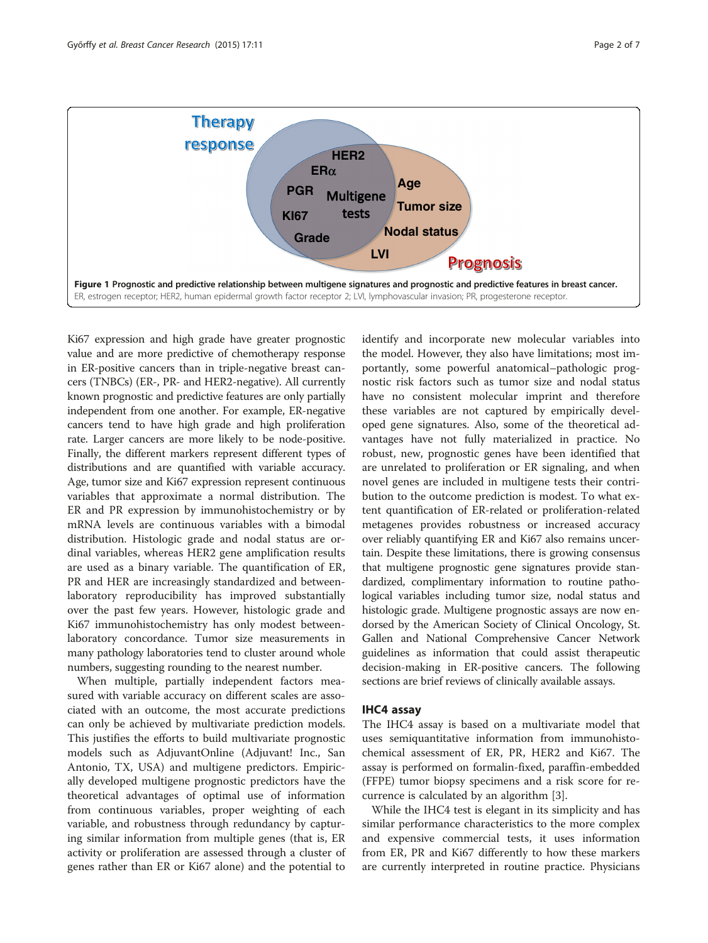<span id="page-1-0"></span>

Ki67 expression and high grade have greater prognostic value and are more predictive of chemotherapy response in ER-positive cancers than in triple-negative breast cancers (TNBCs) (ER-, PR- and HER2-negative). All currently known prognostic and predictive features are only partially independent from one another. For example, ER-negative cancers tend to have high grade and high proliferation rate. Larger cancers are more likely to be node-positive. Finally, the different markers represent different types of distributions and are quantified with variable accuracy. Age, tumor size and Ki67 expression represent continuous variables that approximate a normal distribution. The ER and PR expression by immunohistochemistry or by mRNA levels are continuous variables with a bimodal distribution. Histologic grade and nodal status are ordinal variables, whereas HER2 gene amplification results are used as a binary variable. The quantification of ER, PR and HER are increasingly standardized and betweenlaboratory reproducibility has improved substantially over the past few years. However, histologic grade and Ki67 immunohistochemistry has only modest betweenlaboratory concordance. Tumor size measurements in many pathology laboratories tend to cluster around whole numbers, suggesting rounding to the nearest number.

When multiple, partially independent factors measured with variable accuracy on different scales are associated with an outcome, the most accurate predictions can only be achieved by multivariate prediction models. This justifies the efforts to build multivariate prognostic models such as AdjuvantOnline (Adjuvant! Inc., San Antonio, TX, USA) and multigene predictors. Empirically developed multigene prognostic predictors have the theoretical advantages of optimal use of information from continuous variables, proper weighting of each variable, and robustness through redundancy by capturing similar information from multiple genes (that is, ER activity or proliferation are assessed through a cluster of genes rather than ER or Ki67 alone) and the potential to

identify and incorporate new molecular variables into the model. However, they also have limitations; most importantly, some powerful anatomical–pathologic prognostic risk factors such as tumor size and nodal status have no consistent molecular imprint and therefore these variables are not captured by empirically developed gene signatures. Also, some of the theoretical advantages have not fully materialized in practice. No robust, new, prognostic genes have been identified that are unrelated to proliferation or ER signaling, and when novel genes are included in multigene tests their contribution to the outcome prediction is modest. To what extent quantification of ER-related or proliferation-related metagenes provides robustness or increased accuracy over reliably quantifying ER and Ki67 also remains uncertain. Despite these limitations, there is growing consensus that multigene prognostic gene signatures provide standardized, complimentary information to routine pathological variables including tumor size, nodal status and histologic grade. Multigene prognostic assays are now endorsed by the American Society of Clinical Oncology, St. Gallen and National Comprehensive Cancer Network guidelines as information that could assist therapeutic decision-making in ER-positive cancers. The following sections are brief reviews of clinically available assays.

## IHC4 assay

The IHC4 assay is based on a multivariate model that uses semiquantitative information from immunohistochemical assessment of ER, PR, HER2 and Ki67. The assay is performed on formalin-fixed, paraffin-embedded (FFPE) tumor biopsy specimens and a risk score for recurrence is calculated by an algorithm [\[3](#page-6-0)].

While the IHC4 test is elegant in its simplicity and has similar performance characteristics to the more complex and expensive commercial tests, it uses information from ER, PR and Ki67 differently to how these markers are currently interpreted in routine practice. Physicians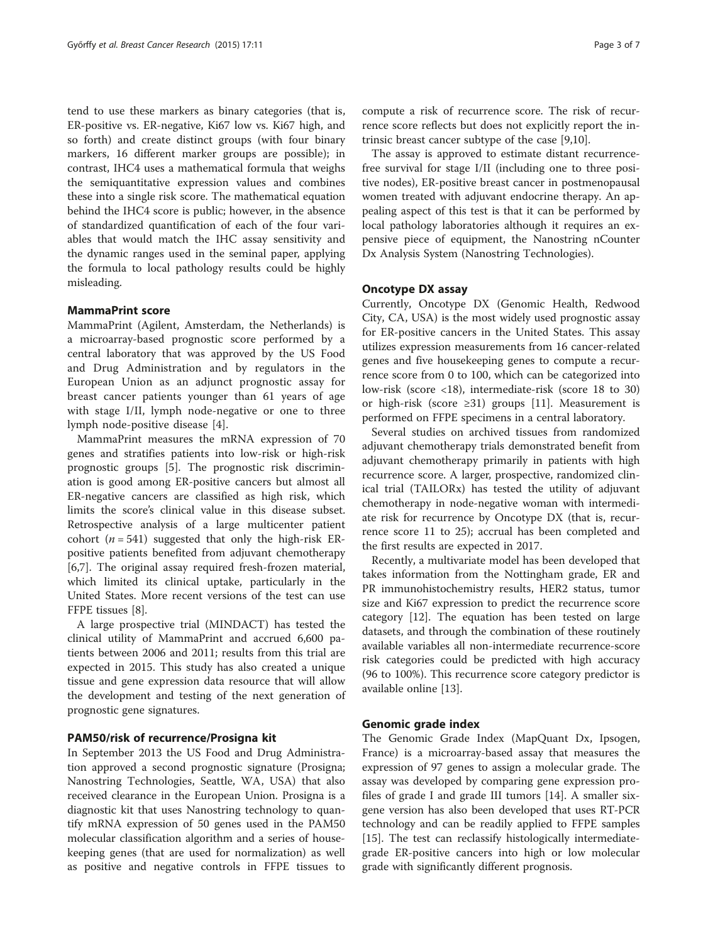tend to use these markers as binary categories (that is, ER-positive vs. ER-negative, Ki67 low vs. Ki67 high, and so forth) and create distinct groups (with four binary markers, 16 different marker groups are possible); in contrast, IHC4 uses a mathematical formula that weighs the semiquantitative expression values and combines these into a single risk score. The mathematical equation behind the IHC4 score is public; however, in the absence of standardized quantification of each of the four variables that would match the IHC assay sensitivity and the dynamic ranges used in the seminal paper, applying the formula to local pathology results could be highly misleading.

#### MammaPrint score

MammaPrint (Agilent, Amsterdam, the Netherlands) is a microarray-based prognostic score performed by a central laboratory that was approved by the US Food and Drug Administration and by regulators in the European Union as an adjunct prognostic assay for breast cancer patients younger than 61 years of age with stage I/II, lymph node-negative or one to three lymph node-positive disease [[4\]](#page-6-0).

MammaPrint measures the mRNA expression of 70 genes and stratifies patients into low-risk or high-risk prognostic groups [[5\]](#page-6-0). The prognostic risk discrimination is good among ER-positive cancers but almost all ER-negative cancers are classified as high risk, which limits the score's clinical value in this disease subset. Retrospective analysis of a large multicenter patient cohort ( $n = 541$ ) suggested that only the high-risk ERpositive patients benefited from adjuvant chemotherapy [[6,7\]](#page-6-0). The original assay required fresh-frozen material, which limited its clinical uptake, particularly in the United States. More recent versions of the test can use FFPE tissues [[8\]](#page-6-0).

A large prospective trial (MINDACT) has tested the clinical utility of MammaPrint and accrued 6,600 patients between 2006 and 2011; results from this trial are expected in 2015. This study has also created a unique tissue and gene expression data resource that will allow the development and testing of the next generation of prognostic gene signatures.

# PAM50/risk of recurrence/Prosigna kit

In September 2013 the US Food and Drug Administration approved a second prognostic signature (Prosigna; Nanostring Technologies, Seattle, WA, USA) that also received clearance in the European Union. Prosigna is a diagnostic kit that uses Nanostring technology to quantify mRNA expression of 50 genes used in the PAM50 molecular classification algorithm and a series of housekeeping genes (that are used for normalization) as well as positive and negative controls in FFPE tissues to

compute a risk of recurrence score. The risk of recurrence score reflects but does not explicitly report the intrinsic breast cancer subtype of the case [[9,10\]](#page-6-0).

The assay is approved to estimate distant recurrencefree survival for stage I/II (including one to three positive nodes), ER-positive breast cancer in postmenopausal women treated with adjuvant endocrine therapy. An appealing aspect of this test is that it can be performed by local pathology laboratories although it requires an expensive piece of equipment, the Nanostring nCounter Dx Analysis System (Nanostring Technologies).

#### Oncotype DX assay

Currently, Oncotype DX (Genomic Health, Redwood City, CA, USA) is the most widely used prognostic assay for ER-positive cancers in the United States. This assay utilizes expression measurements from 16 cancer-related genes and five housekeeping genes to compute a recurrence score from 0 to 100, which can be categorized into low-risk (score <18), intermediate-risk (score 18 to 30) or high-risk (score  $\geq$ 31) groups [\[11\]](#page-6-0). Measurement is performed on FFPE specimens in a central laboratory.

Several studies on archived tissues from randomized adjuvant chemotherapy trials demonstrated benefit from adjuvant chemotherapy primarily in patients with high recurrence score. A larger, prospective, randomized clinical trial (TAILORx) has tested the utility of adjuvant chemotherapy in node-negative woman with intermediate risk for recurrence by Oncotype DX (that is, recurrence score 11 to 25); accrual has been completed and the first results are expected in 2017.

Recently, a multivariate model has been developed that takes information from the Nottingham grade, ER and PR immunohistochemistry results, HER2 status, tumor size and Ki67 expression to predict the recurrence score category [\[12](#page-6-0)]. The equation has been tested on large datasets, and through the combination of these routinely available variables all non-intermediate recurrence-score risk categories could be predicted with high accuracy (96 to 100%). This recurrence score category predictor is available online [[13\]](#page-6-0).

# Genomic grade index

The Genomic Grade Index (MapQuant Dx, Ipsogen, France) is a microarray-based assay that measures the expression of 97 genes to assign a molecular grade. The assay was developed by comparing gene expression profiles of grade I and grade III tumors [[14\]](#page-6-0). A smaller sixgene version has also been developed that uses RT-PCR technology and can be readily applied to FFPE samples [[15\]](#page-6-0). The test can reclassify histologically intermediategrade ER-positive cancers into high or low molecular grade with significantly different prognosis.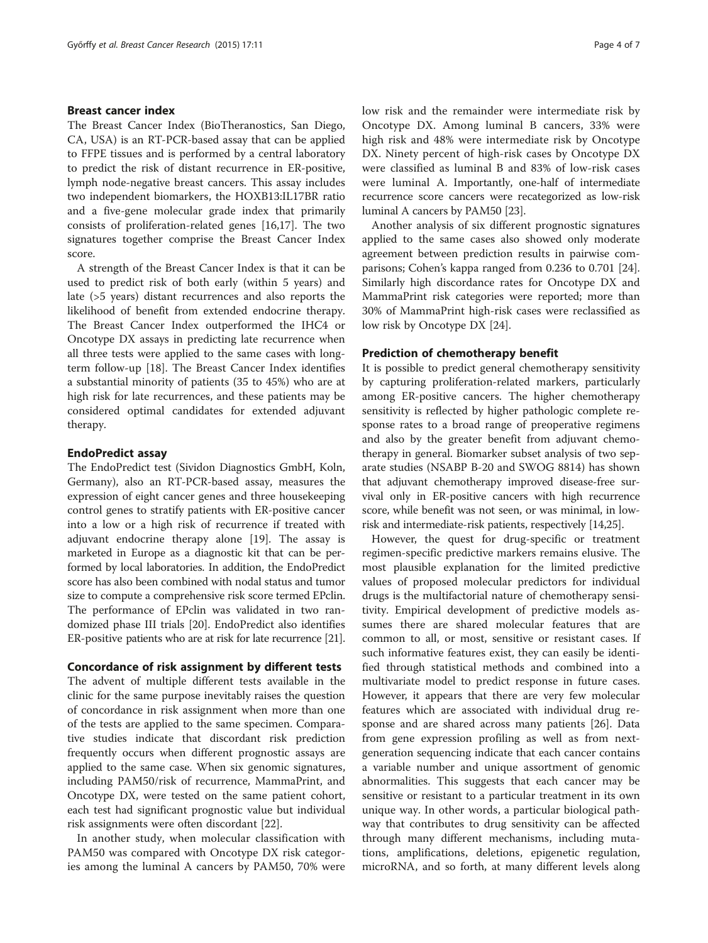# Breast cancer index

The Breast Cancer Index (BioTheranostics, San Diego, CA, USA) is an RT-PCR-based assay that can be applied to FFPE tissues and is performed by a central laboratory to predict the risk of distant recurrence in ER-positive, lymph node-negative breast cancers. This assay includes two independent biomarkers, the HOXB13:IL17BR ratio and a five-gene molecular grade index that primarily consists of proliferation-related genes [\[16,17\]](#page-6-0). The two signatures together comprise the Breast Cancer Index score.

A strength of the Breast Cancer Index is that it can be used to predict risk of both early (within 5 years) and late (>5 years) distant recurrences and also reports the likelihood of benefit from extended endocrine therapy. The Breast Cancer Index outperformed the IHC4 or Oncotype DX assays in predicting late recurrence when all three tests were applied to the same cases with longterm follow-up [\[18\]](#page-6-0). The Breast Cancer Index identifies a substantial minority of patients (35 to 45%) who are at high risk for late recurrences, and these patients may be considered optimal candidates for extended adjuvant therapy.

# EndoPredict assay

The EndoPredict test (Sividon Diagnostics GmbH, Koln, Germany), also an RT-PCR-based assay, measures the expression of eight cancer genes and three housekeeping control genes to stratify patients with ER-positive cancer into a low or a high risk of recurrence if treated with adjuvant endocrine therapy alone [\[19\]](#page-6-0). The assay is marketed in Europe as a diagnostic kit that can be performed by local laboratories. In addition, the EndoPredict score has also been combined with nodal status and tumor size to compute a comprehensive risk score termed EPclin. The performance of EPclin was validated in two randomized phase III trials [[20\]](#page-6-0). EndoPredict also identifies ER-positive patients who are at risk for late recurrence [\[21](#page-6-0)].

## Concordance of risk assignment by different tests

The advent of multiple different tests available in the clinic for the same purpose inevitably raises the question of concordance in risk assignment when more than one of the tests are applied to the same specimen. Comparative studies indicate that discordant risk prediction frequently occurs when different prognostic assays are applied to the same case. When six genomic signatures, including PAM50/risk of recurrence, MammaPrint, and Oncotype DX, were tested on the same patient cohort, each test had significant prognostic value but individual risk assignments were often discordant [[22](#page-6-0)].

In another study, when molecular classification with PAM50 was compared with Oncotype DX risk categories among the luminal A cancers by PAM50, 70% were low risk and the remainder were intermediate risk by Oncotype DX. Among luminal B cancers, 33% were high risk and 48% were intermediate risk by Oncotype DX. Ninety percent of high-risk cases by Oncotype DX were classified as luminal B and 83% of low-risk cases were luminal A. Importantly, one-half of intermediate recurrence score cancers were recategorized as low-risk luminal A cancers by PAM50 [[23](#page-6-0)].

Another analysis of six different prognostic signatures applied to the same cases also showed only moderate agreement between prediction results in pairwise comparisons; Cohen's kappa ranged from 0.236 to 0.701 [\[24](#page-6-0)]. Similarly high discordance rates for Oncotype DX and MammaPrint risk categories were reported; more than 30% of MammaPrint high-risk cases were reclassified as low risk by Oncotype DX [\[24\]](#page-6-0).

# Prediction of chemotherapy benefit

It is possible to predict general chemotherapy sensitivity by capturing proliferation-related markers, particularly among ER-positive cancers. The higher chemotherapy sensitivity is reflected by higher pathologic complete response rates to a broad range of preoperative regimens and also by the greater benefit from adjuvant chemotherapy in general. Biomarker subset analysis of two separate studies (NSABP B-20 and SWOG 8814) has shown that adjuvant chemotherapy improved disease-free survival only in ER-positive cancers with high recurrence score, while benefit was not seen, or was minimal, in lowrisk and intermediate-risk patients, respectively [[14,25\]](#page-6-0).

However, the quest for drug-specific or treatment regimen-specific predictive markers remains elusive. The most plausible explanation for the limited predictive values of proposed molecular predictors for individual drugs is the multifactorial nature of chemotherapy sensitivity. Empirical development of predictive models assumes there are shared molecular features that are common to all, or most, sensitive or resistant cases. If such informative features exist, they can easily be identified through statistical methods and combined into a multivariate model to predict response in future cases. However, it appears that there are very few molecular features which are associated with individual drug response and are shared across many patients [[26\]](#page-6-0). Data from gene expression profiling as well as from nextgeneration sequencing indicate that each cancer contains a variable number and unique assortment of genomic abnormalities. This suggests that each cancer may be sensitive or resistant to a particular treatment in its own unique way. In other words, a particular biological pathway that contributes to drug sensitivity can be affected through many different mechanisms, including mutations, amplifications, deletions, epigenetic regulation, microRNA, and so forth, at many different levels along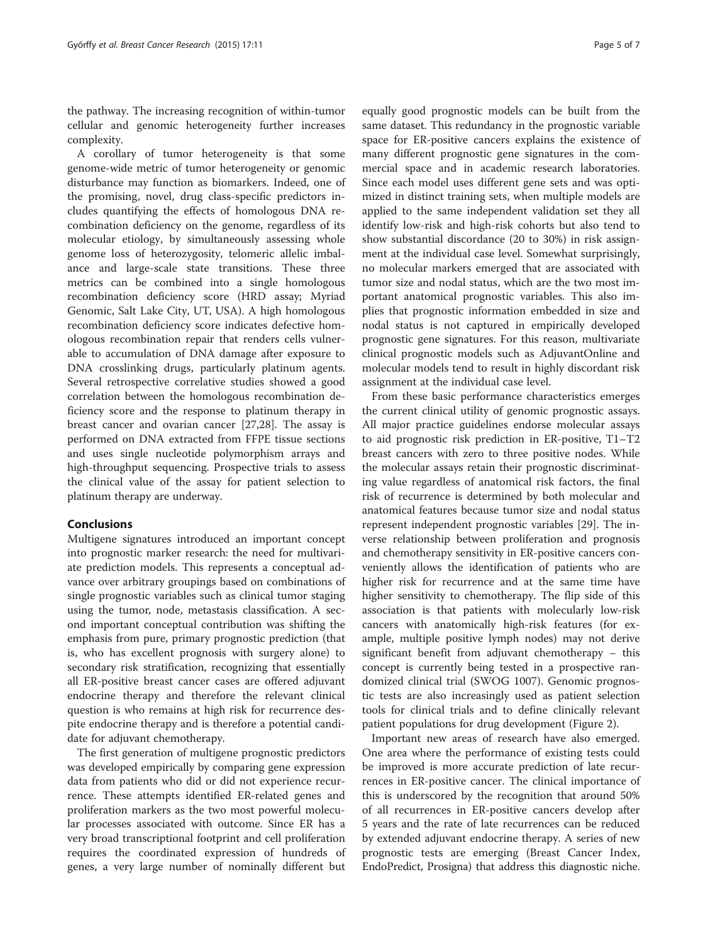the pathway. The increasing recognition of within-tumor cellular and genomic heterogeneity further increases complexity.

A corollary of tumor heterogeneity is that some genome-wide metric of tumor heterogeneity or genomic disturbance may function as biomarkers. Indeed, one of the promising, novel, drug class-specific predictors includes quantifying the effects of homologous DNA recombination deficiency on the genome, regardless of its molecular etiology, by simultaneously assessing whole genome loss of heterozygosity, telomeric allelic imbalance and large-scale state transitions. These three metrics can be combined into a single homologous recombination deficiency score (HRD assay; Myriad Genomic, Salt Lake City, UT, USA). A high homologous recombination deficiency score indicates defective homologous recombination repair that renders cells vulnerable to accumulation of DNA damage after exposure to DNA crosslinking drugs, particularly platinum agents. Several retrospective correlative studies showed a good correlation between the homologous recombination deficiency score and the response to platinum therapy in breast cancer and ovarian cancer [\[27,28\]](#page-6-0). The assay is performed on DNA extracted from FFPE tissue sections and uses single nucleotide polymorphism arrays and high-throughput sequencing. Prospective trials to assess the clinical value of the assay for patient selection to platinum therapy are underway.

## Conclusions

Multigene signatures introduced an important concept into prognostic marker research: the need for multivariate prediction models. This represents a conceptual advance over arbitrary groupings based on combinations of single prognostic variables such as clinical tumor staging using the tumor, node, metastasis classification. A second important conceptual contribution was shifting the emphasis from pure, primary prognostic prediction (that is, who has excellent prognosis with surgery alone) to secondary risk stratification, recognizing that essentially all ER-positive breast cancer cases are offered adjuvant endocrine therapy and therefore the relevant clinical question is who remains at high risk for recurrence despite endocrine therapy and is therefore a potential candidate for adjuvant chemotherapy.

The first generation of multigene prognostic predictors was developed empirically by comparing gene expression data from patients who did or did not experience recurrence. These attempts identified ER-related genes and proliferation markers as the two most powerful molecular processes associated with outcome. Since ER has a very broad transcriptional footprint and cell proliferation requires the coordinated expression of hundreds of genes, a very large number of nominally different but

equally good prognostic models can be built from the same dataset. This redundancy in the prognostic variable space for ER-positive cancers explains the existence of many different prognostic gene signatures in the commercial space and in academic research laboratories. Since each model uses different gene sets and was optimized in distinct training sets, when multiple models are applied to the same independent validation set they all identify low-risk and high-risk cohorts but also tend to show substantial discordance (20 to 30%) in risk assignment at the individual case level. Somewhat surprisingly, no molecular markers emerged that are associated with tumor size and nodal status, which are the two most important anatomical prognostic variables. This also implies that prognostic information embedded in size and nodal status is not captured in empirically developed prognostic gene signatures. For this reason, multivariate clinical prognostic models such as AdjuvantOnline and molecular models tend to result in highly discordant risk assignment at the individual case level.

From these basic performance characteristics emerges the current clinical utility of genomic prognostic assays. All major practice guidelines endorse molecular assays to aid prognostic risk prediction in ER-positive, T1–T2 breast cancers with zero to three positive nodes. While the molecular assays retain their prognostic discriminating value regardless of anatomical risk factors, the final risk of recurrence is determined by both molecular and anatomical features because tumor size and nodal status represent independent prognostic variables [\[29\]](#page-6-0). The inverse relationship between proliferation and prognosis and chemotherapy sensitivity in ER-positive cancers conveniently allows the identification of patients who are higher risk for recurrence and at the same time have higher sensitivity to chemotherapy. The flip side of this association is that patients with molecularly low-risk cancers with anatomically high-risk features (for example, multiple positive lymph nodes) may not derive significant benefit from adjuvant chemotherapy – this concept is currently being tested in a prospective randomized clinical trial (SWOG 1007). Genomic prognostic tests are also increasingly used as patient selection tools for clinical trials and to define clinically relevant patient populations for drug development (Figure [2\)](#page-5-0).

Important new areas of research have also emerged. One area where the performance of existing tests could be improved is more accurate prediction of late recurrences in ER-positive cancer. The clinical importance of this is underscored by the recognition that around 50% of all recurrences in ER-positive cancers develop after 5 years and the rate of late recurrences can be reduced by extended adjuvant endocrine therapy. A series of new prognostic tests are emerging (Breast Cancer Index, EndoPredict, Prosigna) that address this diagnostic niche.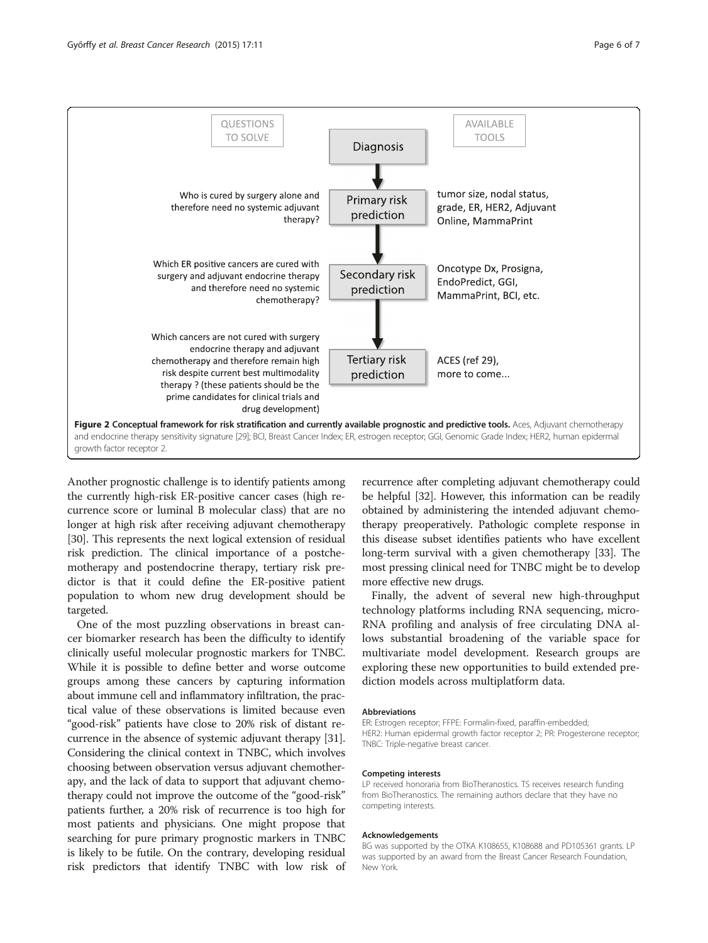<span id="page-5-0"></span>

Another prognostic challenge is to identify patients among the currently high-risk ER-positive cancer cases (high recurrence score or luminal B molecular class) that are no longer at high risk after receiving adjuvant chemotherapy [[30](#page-6-0)]. This represents the next logical extension of residual risk prediction. The clinical importance of a postchemotherapy and postendocrine therapy, tertiary risk predictor is that it could define the ER-positive patient population to whom new drug development should be targeted.

One of the most puzzling observations in breast cancer biomarker research has been the difficulty to identify clinically useful molecular prognostic markers for TNBC. While it is possible to define better and worse outcome groups among these cancers by capturing information about immune cell and inflammatory infiltration, the practical value of these observations is limited because even "good-risk" patients have close to 20% risk of distant recurrence in the absence of systemic adjuvant therapy [[31](#page-6-0)]. Considering the clinical context in TNBC, which involves choosing between observation versus adjuvant chemotherapy, and the lack of data to support that adjuvant chemotherapy could not improve the outcome of the "good-risk" patients further, a 20% risk of recurrence is too high for most patients and physicians. One might propose that searching for pure primary prognostic markers in TNBC is likely to be futile. On the contrary, developing residual risk predictors that identify TNBC with low risk of

recurrence after completing adjuvant chemotherapy could be helpful [\[32\]](#page-6-0). However, this information can be readily obtained by administering the intended adjuvant chemotherapy preoperatively. Pathologic complete response in this disease subset identifies patients who have excellent long-term survival with a given chemotherapy [[33](#page-6-0)]. The most pressing clinical need for TNBC might be to develop more effective new drugs.

Finally, the advent of several new high-throughput technology platforms including RNA sequencing, micro-RNA profiling and analysis of free circulating DNA allows substantial broadening of the variable space for multivariate model development. Research groups are exploring these new opportunities to build extended prediction models across multiplatform data.

#### Abbreviations

ER: Estrogen receptor; FFPE: Formalin-fixed, paraffin-embedded; HER2: Human epidermal growth factor receptor 2; PR: Progesterone receptor; TNBC: Triple-negative breast cancer.

#### Competing interests

LP received honoraria from BioTheranostics. TS receives research funding from BioTheranostics. The remaining authors declare that they have no competing interests.

#### Acknowledgements

BG was supported by the OTKA K108655, K108688 and PD105361 grants. LP was supported by an award from the Breast Cancer Research Foundation, New York.